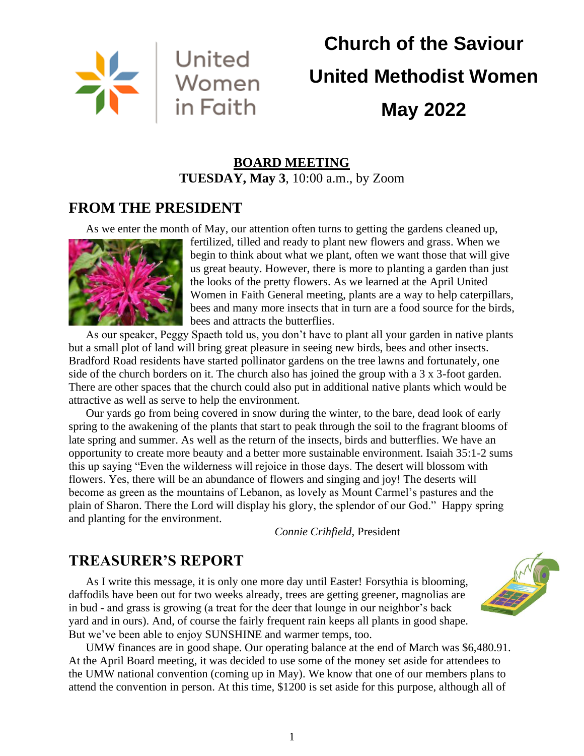

# **Church of the Saviour United Methodist Women May 2022**

## **BOARD MEETING TUESDAY, May 3**, 10:00 a.m., by Zoom

#### **FROM THE PRESIDENT**

As we enter the month of May, our attention often turns to getting the gardens cleaned up,



fertilized, tilled and ready to plant new flowers and grass. When we begin to think about what we plant, often we want those that will give us great beauty. However, there is more to planting a garden than just the looks of the pretty flowers. As we learned at the April United Women in Faith General meeting, plants are a way to help caterpillars, bees and many more insects that in turn are a food source for the birds, bees and attracts the butterflies.

As our speaker, Peggy Spaeth told us, you don't have to plant all your garden in native plants but a small plot of land will bring great pleasure in seeing new birds, bees and other insects. Bradford Road residents have started pollinator gardens on the tree lawns and fortunately, one side of the church borders on it. The church also has joined the group with a 3 x 3-foot garden. There are other spaces that the church could also put in additional native plants which would be attractive as well as serve to help the environment.

Our yards go from being covered in snow during the winter, to the bare, dead look of early spring to the awakening of the plants that start to peak through the soil to the fragrant blooms of late spring and summer. As well as the return of the insects, birds and butterflies. We have an opportunity to create more beauty and a better more sustainable environment. Isaiah 35:1-2 sums this up saying "Even the wilderness will rejoice in those days. The desert will blossom with flowers. Yes, there will be an abundance of flowers and singing and joy! The deserts will become as green as the mountains of Lebanon, as lovely as Mount Carmel's pastures and the plain of Sharon. There the Lord will display his glory, the splendor of our God." Happy spring and planting for the environment.

*Connie Crihfield*, President

#### **TREASURER'S REPORT**

As I write this message, it is only one more day until Easter! Forsythia is blooming, daffodils have been out for two weeks already, trees are getting greener, magnolias are in bud - and grass is growing (a treat for the deer that lounge in our neighbor's back yard and in ours). And, of course the fairly frequent rain keeps all plants in good shape. But we've been able to enjoy SUNSHINE and warmer temps, too.

UMW finances are in good shape. Our operating balance at the end of March was \$6,480.91. At the April Board meeting, it was decided to use some of the money set aside for attendees to the UMW national convention (coming up in May). We know that one of our members plans to attend the convention in person. At this time, \$1200 is set aside for this purpose, although all of

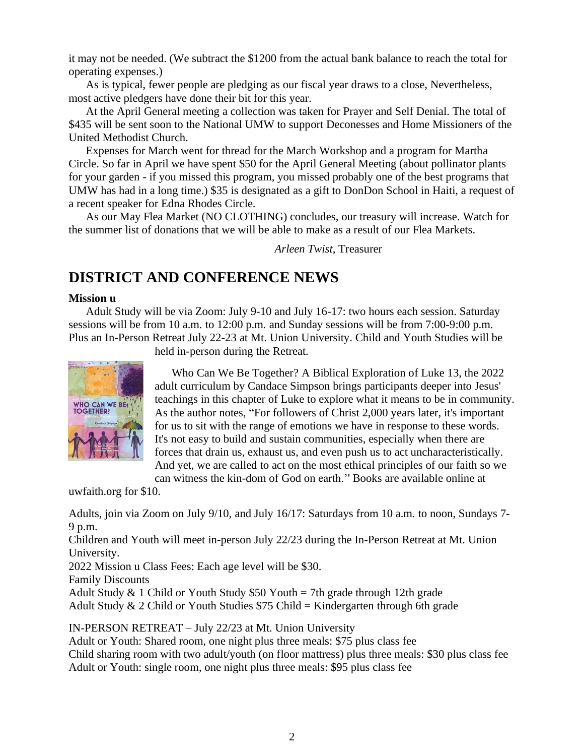it may not be needed. (We subtract the \$1200 from the actual bank balance to reach the total for operating expenses.)

As is typical, fewer people are pledging as our fiscal year draws to a close, Nevertheless, most active pledgers have done their bit for this year.

At the April General meeting a collection was taken for Prayer and Self Denial. The total of \$435 will be sent soon to the National UMW to support Deconesses and Home Missioners of the United Methodist Church.

Expenses for March went for thread for the March Workshop and a program for Martha Circle. So far in April we have spent \$50 for the April General Meeting (about pollinator plants for your garden - if you missed this program, you missed probably one of the best programs that UMW has had in a long time.) \$35 is designated as a gift to DonDon School in Haiti, a request of a recent speaker for Edna Rhodes Circle.

As our May Flea Market (NO CLOTHING) concludes, our treasury will increase. Watch for the summer list of donations that we will be able to make as a result of our Flea Markets.

*Arleen Twist*, Treasurer

### **DISTRICT AND CONFERENCE NEWS**

#### **Mission u**

Adult Study will be via Zoom: July 9-10 and July 16-17: two hours each session. Saturday sessions will be from 10 a.m. to 12:00 p.m. and Sunday sessions will be from 7:00-9:00 p.m. Plus an In-Person Retreat July 22-23 at Mt. Union University. Child and Youth Studies will be



held in-person during the Retreat.

Who Can We Be Together? A Biblical Exploration of Luke 13, the 2022 adult curriculum by Candace Simpson brings participants deeper into Jesus' teachings in this chapter of Luke to explore what it means to be in community. As the author notes, "For followers of Christ 2,000 years later, it's important for us to sit with the range of emotions we have in response to these words. It's not easy to build and sustain communities, especially when there are forces that drain us, exhaust us, and even push us to act uncharacteristically. And yet, we are called to act on the most ethical principles of our faith so we

can witness the kin-dom of God on earth.'' Books are available online at

uwfaith.org for \$10.

Adults, join via Zoom on July 9/10, and July 16/17: Saturdays from 10 a.m. to noon, Sundays 7- 9 p.m.

Children and Youth will meet in-person July 22/23 during the In-Person Retreat at Mt. Union University.

2022 Mission u Class Fees: Each age level will be \$30.

Family Discounts

Adult Study & 1 Child or Youth Study  $$50$  Youth = 7th grade through 12th grade Adult Study  $& 2$  Child or Youth Studies \$75 Child = Kindergarten through 6th grade

IN-PERSON RETREAT – July 22/23 at Mt. Union University

Adult or Youth: Shared room, one night plus three meals: \$75 plus class fee Child sharing room with two adult/youth (on floor mattress) plus three meals: \$30 plus class fee Adult or Youth: single room, one night plus three meals: \$95 plus class fee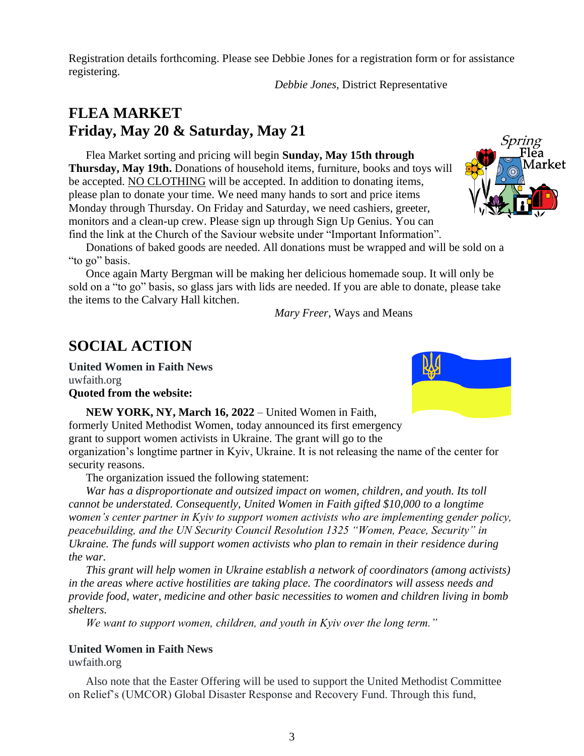Registration details forthcoming. Please see Debbie Jones for a registration form or for assistance registering.

*Debbie Jones,* District Representative

# **FLEA MARKET Friday, May 20 & Saturday, May 21**

Flea Market sorting and pricing will begin **Sunday, May 15th through Thursday, May 19th.** Donations of household items, furniture, books and toys will be accepted. NO CLOTHING will be accepted. In addition to donating items, please plan to donate your time. We need many hands to sort and price items Monday through Thursday. On Friday and Saturday, we need cashiers, greeter, monitors and a clean-up crew. Please sign up through Sign Up Genius. You can find the link at the Church of the Saviour website under "Important Information".

Donations of baked goods are needed. All donations must be wrapped and will be sold on a "to go" basis.

Once again Marty Bergman will be making her delicious homemade soup. It will only be sold on a "to go" basis, so glass jars with lids are needed. If you are able to donate, please take the items to the Calvary Hall kitchen.

*Mary Freer,* Ways and Means

## **SOCIAL ACTION**

**United Women in Faith News**  uwfaith.org **Quoted from the website:**



**NEW YORK, NY, March 16, 2022** – United Women in Faith, formerly United Methodist Women, today announced its first emergency grant to support women activists in Ukraine. The grant will go to the organization's longtime partner in Kyiv, Ukraine. It is not releasing the name of the center for security reasons.

The organization issued the following statement:

*War has a disproportionate and outsized impact on women, children, and youth. Its toll cannot be understated. Consequently, United Women in Faith gifted \$10,000 to a longtime women's center partner in Kyiv to support women activists who are implementing gender policy, peacebuilding, and the UN Security Council Resolution 1325 "Women, Peace, Security" in Ukraine. The funds will support women activists who plan to remain in their residence during the war.*

*This grant will help women in Ukraine establish a network of coordinators (among activists) in the areas where active hostilities are taking place. The coordinators will assess needs and provide food, water, medicine and other basic necessities to women and children living in bomb shelters.*

*We want to support women, children, and youth in Kyiv over the long term."*

#### **United Women in Faith News**

uwfaith.org

Also note that the Easter Offering will be used to support the United Methodist Committee on Relief's (UMCOR) Global Disaster Response and Recovery Fund. Through this fund,